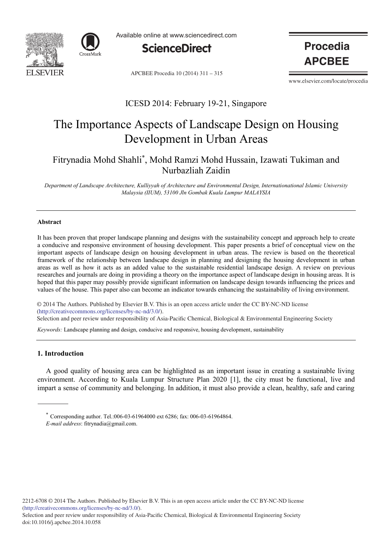



Available online at www.sciencedirect.com



APCBEE Procedia 10 (2014) 311 - 315

**Procedia APCBEE** 

www.elsevier.com/locate/procedia

### ICESD 2014: February 19-21, Singapore

# The Importance Aspects of Landscape Design on Housing Development in Urban Areas

### Fitrynadia Mohd Shahli\*, Mohd Ramzi Mohd Hussain, Izawati Tukiman and Nurbazliah Zaidin

*Department of Landscape Architecture, Kulliyyah of Architecture and Environmental Design, Internationational Islamic University Malaysia (IIUM), 53100 Jln Gombak Kuala Lumpur MALAYSIA*

#### **Abstract**

It has been proven that proper landscape planning and designs with the sustainability concept and approach help to create a conducive and responsive environment of housing development. This paper presents a brief of conceptual view on the important aspects of landscape design on housing development in urban areas. The review is based on the theoretical framework of the relationship between landscape design in planning and designing the housing development in urban areas as well as how it acts as an added value to the sustainable residential landscape design. A review on previous researches and journals are doing in providing a theory on the importance aspect of landscape design in housing areas. It is hoped that this paper may possibly provide significant information on landscape design towards influencing the prices and values of the house. This paper also can become an indicator towards enhancing the sustainability of living environment.

© 2014 The Authors. Published by Elsevier B.V. This is an open access article under the CC BY-NC-ND license (http://creativecommons.org/licenses/by-nc-nd/3.0/).

Selection and peer review under responsibility of Asia-Pacific Chemical, Biological & Environmental Engineering Society

*Keywords:* Landscape planning and design, conducive and responsive, housing development, sustainability

#### **1. Introduction**

A good quality of housing area can be highlighted as an important issue in creating a sustainable living environment. According to Kuala Lumpur Structure Plan 2020 [1], the city must be functional, live and impart a sense of community and belonging. In addition, it must also provide a clean, healthy, safe and caring

 Corresponding author. Tel.:006-03-61964000 ext 6286; fax: 006-03-61964864. *E-mail address*: fitrynadia@gmail.com.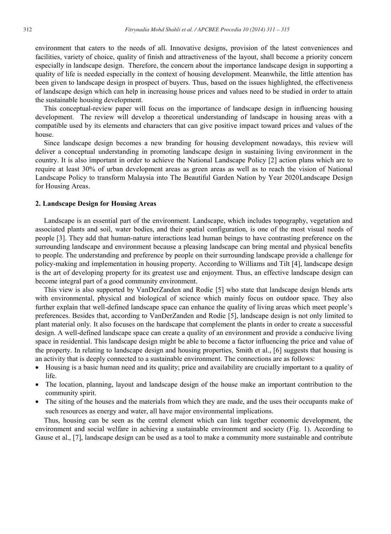environment that caters to the needs of all. Innovative designs, provision of the latest conveniences and facilities, variety of choice, quality of finish and attractiveness of the layout, shall become a priority concern especially in landscape design. Therefore, the concern about the importance landscape design in supporting a quality of life is needed especially in the context of housing development. Meanwhile, the little attention has been given to landscape design in prospect of buyers. Thus, based on the issues highlighted, the effectiveness of landscape design which can help in increasing house prices and values need to be studied in order to attain the sustainable housing development.

This conceptual-review paper will focus on the importance of landscape design in influencing housing development. The review will develop a theoretical understanding of landscape in housing areas with a compatible used by its elements and characters that can give positive impact toward prices and values of the house.

Since landscape design becomes a new branding for housing development nowadays, this review will deliver a conceptual understanding in promoting landscape design in sustaining living environment in the country. It is also important in order to achieve the National Landscape Policy [2] action plans which are to require at least 30% of urban development areas as green areas as well as to reach the vision of National Landscape Policy to transform Malaysia into The Beautiful Garden Nation by Year 2020Landscape Design for Housing Areas.

#### **2. Landscape Design for Housing Areas**

Landscape is an essential part of the environment. Landscape, which includes topography, vegetation and associated plants and soil, water bodies, and their spatial configuration, is one of the most visual needs of people [3]. They add that human-nature interactions lead human beings to have contrasting preference on the surrounding landscape and environment because a pleasing landscape can bring mental and physical benefits to people. The understanding and preference by people on their surrounding landscape provide a challenge for policy-making and implementation in housing property. According to Williams and Tilt [4], landscape design is the art of developing property for its greatest use and enjoyment. Thus, an effective landscape design can become integral part of a good community environment.

This view is also supported by VanDerZanden and Rodie [5] who state that landscape design blends arts with environmental, physical and biological of science which mainly focus on outdoor space. They also further explain that well-defined landscape space can enhance the quality of living areas which meet people's preferences. Besides that, according to VanDerZanden and Rodie [5], landscape design is not only limited to plant material only. It also focuses on the hardscape that complement the plants in order to create a successful design. A well-defined landscape space can create a quality of an environment and provide a conducive living space in residential. This landscape design might be able to become a factor influencing the price and value of the property. In relating to landscape design and housing properties, Smith et al., [6] suggests that housing is an activity that is deeply connected to a sustainable environment. The connections are as follows:

- Housing is a basic human need and its quality; price and availability are crucially important to a quality of life.
- The location, planning, layout and landscape design of the house make an important contribution to the community spirit.
- The siting of the houses and the materials from which they are made, and the uses their occupants make of such resources as energy and water, all have major environmental implications*.*

Thus, housing can be seen as the central element which can link together economic development, the environment and social welfare in achieving a sustainable environment and society (Fig. 1). According to Gause et al., [7], landscape design can be used as a tool to make a community more sustainable and contribute